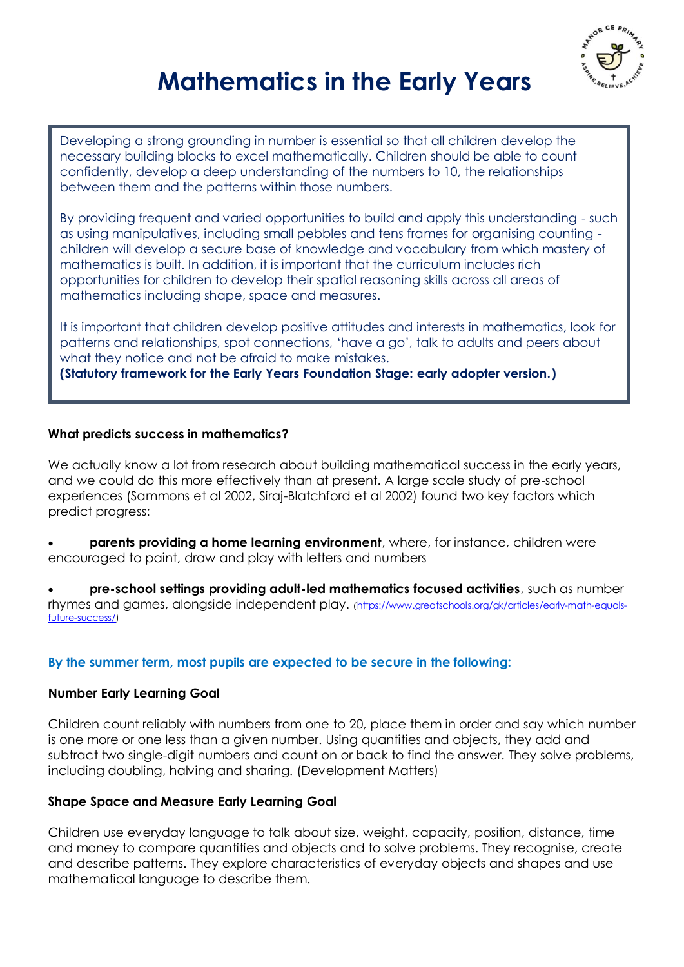

# **Mathematics in the Early Years**

Developing a strong grounding in number is essential so that all children develop the necessary building blocks to excel mathematically. Children should be able to count confidently, develop a deep understanding of the numbers to 10, the relationships between them and the patterns within those numbers.

By providing frequent and varied opportunities to build and apply this understanding - such as using manipulatives, including small pebbles and tens frames for organising counting children will develop a secure base of knowledge and vocabulary from which mastery of mathematics is built. In addition, it is important that the curriculum includes rich opportunities for children to develop their spatial reasoning skills across all areas of mathematics including shape, space and measures.

It is important that children develop positive attitudes and interests in mathematics, look for patterns and relationships, spot connections, 'have a go', talk to adults and peers about what they notice and not be afraid to make mistakes. **(Statutory framework for the Early Years Foundation Stage: early adopter version.)**

#### **What predicts success in mathematics?**

We actually know a lot from research about building mathematical success in the early years, and we could do this more effectively than at present. A large scale study of pre-school experiences (Sammons et al 2002, Siraj-Blatchford et al 2002) found two key factors which predict progress:

 **parents providing a home learning environment**, where, for instance, children were encouraged to paint, draw and play with letters and numbers

 **pre-school settings providing adult-led mathematics focused activities**, such as number rhymes and games, alongside independent play. ([https://www.greatschools.org/gk/articles/early-math-equals](https://www.greatschools.org/gk/articles/early-math-equals-future-success/)[future-success/\)](https://www.greatschools.org/gk/articles/early-math-equals-future-success/)

#### **By the summer term, most pupils are expected to be secure in the following:**

#### **Number Early Learning Goal**

Children count reliably with numbers from one to 20, place them in order and say which number is one more or one less than a given number. Using quantities and objects, they add and subtract two single-digit numbers and count on or back to find the answer. They solve problems, including doubling, halving and sharing. (Development Matters)

#### **Shape Space and Measure Early Learning Goal**

Children use everyday language to talk about size, weight, capacity, position, distance, time and money to compare quantities and objects and to solve problems. They recognise, create and describe patterns. They explore characteristics of everyday objects and shapes and use mathematical language to describe them.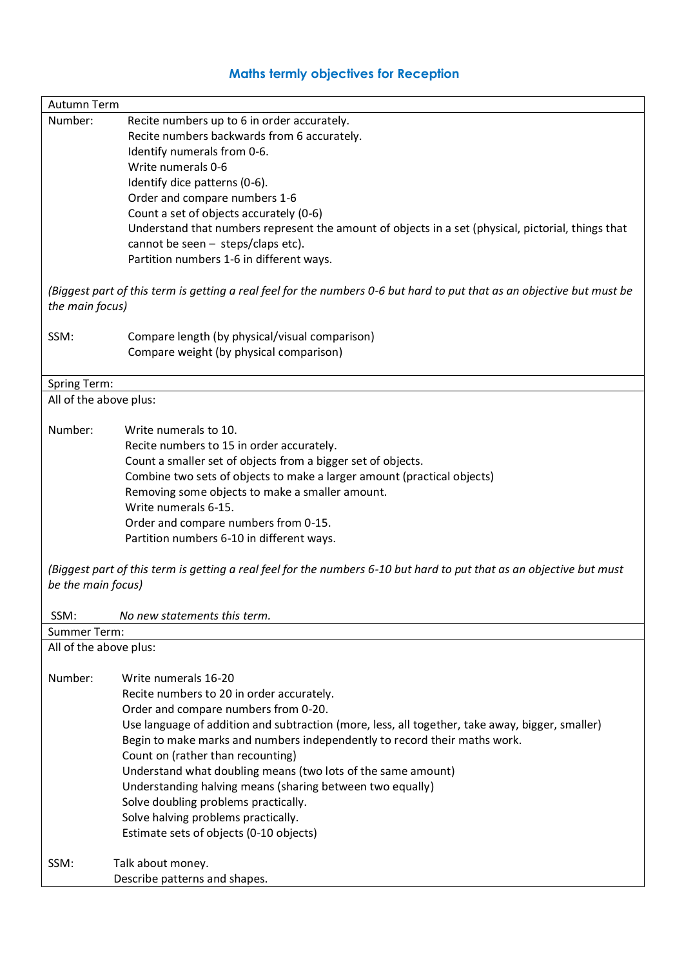# **Maths termly objectives for Reception**

| Autumn Term                                                                                                                                |                                                                                                    |
|--------------------------------------------------------------------------------------------------------------------------------------------|----------------------------------------------------------------------------------------------------|
| Number:                                                                                                                                    | Recite numbers up to 6 in order accurately.                                                        |
|                                                                                                                                            | Recite numbers backwards from 6 accurately.                                                        |
|                                                                                                                                            | Identify numerals from 0-6.                                                                        |
|                                                                                                                                            | Write numerals 0-6                                                                                 |
|                                                                                                                                            | Identify dice patterns (0-6).                                                                      |
|                                                                                                                                            | Order and compare numbers 1-6                                                                      |
|                                                                                                                                            | Count a set of objects accurately (0-6)                                                            |
|                                                                                                                                            | Understand that numbers represent the amount of objects in a set (physical, pictorial, things that |
|                                                                                                                                            | cannot be seen - steps/claps etc).                                                                 |
|                                                                                                                                            | Partition numbers 1-6 in different ways.                                                           |
| (Biggest part of this term is getting a real feel for the numbers 0-6 but hard to put that as an objective but must be<br>the main focus)  |                                                                                                    |
| SSM:                                                                                                                                       | Compare length (by physical/visual comparison)                                                     |
|                                                                                                                                            | Compare weight (by physical comparison)                                                            |
|                                                                                                                                            |                                                                                                    |
| Spring Term:                                                                                                                               |                                                                                                    |
| All of the above plus:                                                                                                                     |                                                                                                    |
| Number:                                                                                                                                    | Write numerals to 10.                                                                              |
|                                                                                                                                            | Recite numbers to 15 in order accurately.                                                          |
|                                                                                                                                            | Count a smaller set of objects from a bigger set of objects.                                       |
|                                                                                                                                            | Combine two sets of objects to make a larger amount (practical objects)                            |
|                                                                                                                                            | Removing some objects to make a smaller amount.                                                    |
|                                                                                                                                            | Write numerals 6-15.                                                                               |
|                                                                                                                                            | Order and compare numbers from 0-15.                                                               |
|                                                                                                                                            | Partition numbers 6-10 in different ways.                                                          |
|                                                                                                                                            |                                                                                                    |
| (Biggest part of this term is getting a real feel for the numbers 6-10 but hard to put that as an objective but must<br>be the main focus) |                                                                                                    |
| SSM:                                                                                                                                       | No new statements this term.                                                                       |
| Summer Term:                                                                                                                               |                                                                                                    |
| All of the above plus:                                                                                                                     |                                                                                                    |
| Number:                                                                                                                                    | Write numerals 16-20                                                                               |
|                                                                                                                                            | Recite numbers to 20 in order accurately.                                                          |
|                                                                                                                                            | Order and compare numbers from 0-20.                                                               |
|                                                                                                                                            | Use language of addition and subtraction (more, less, all together, take away, bigger, smaller)    |
|                                                                                                                                            | Begin to make marks and numbers independently to record their maths work.                          |
|                                                                                                                                            | Count on (rather than recounting)                                                                  |
|                                                                                                                                            | Understand what doubling means (two lots of the same amount)                                       |
|                                                                                                                                            | Understanding halving means (sharing between two equally)                                          |
|                                                                                                                                            | Solve doubling problems practically.                                                               |
|                                                                                                                                            | Solve halving problems practically.                                                                |
|                                                                                                                                            | Estimate sets of objects (0-10 objects)                                                            |
|                                                                                                                                            |                                                                                                    |
| SSM:                                                                                                                                       | Talk about money.                                                                                  |
|                                                                                                                                            | Describe patterns and shapes.                                                                      |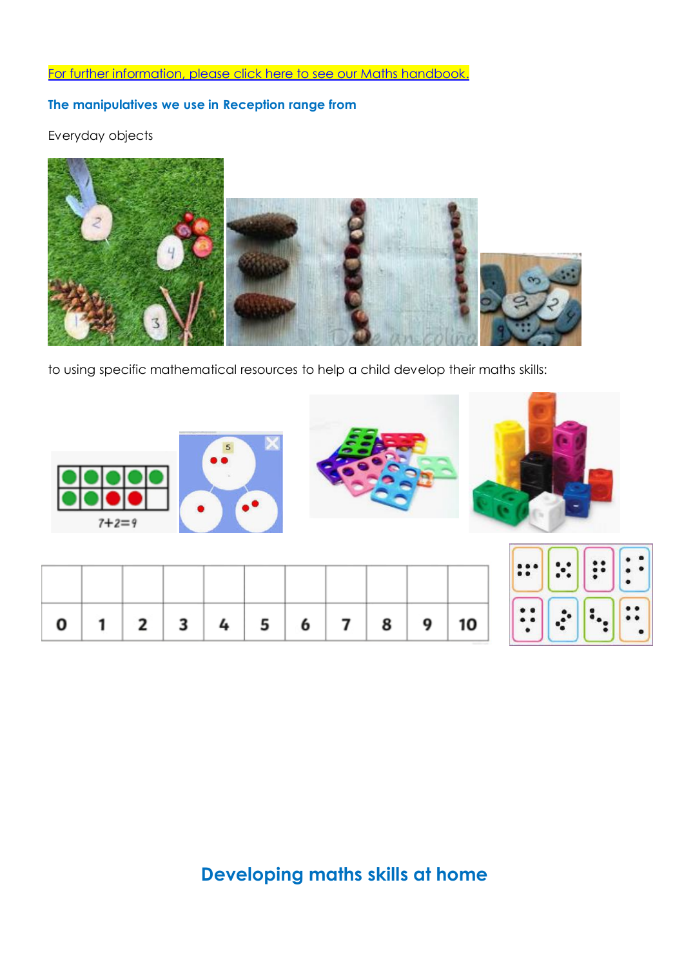# [For further information, please click here to see our Maths handbook.](https://www.themanorcofeprimary.org.uk/maths)

## **The manipulatives we use in Reception range from**

Everyday objects



to using specific mathematical resources to help a child develop their maths skills:

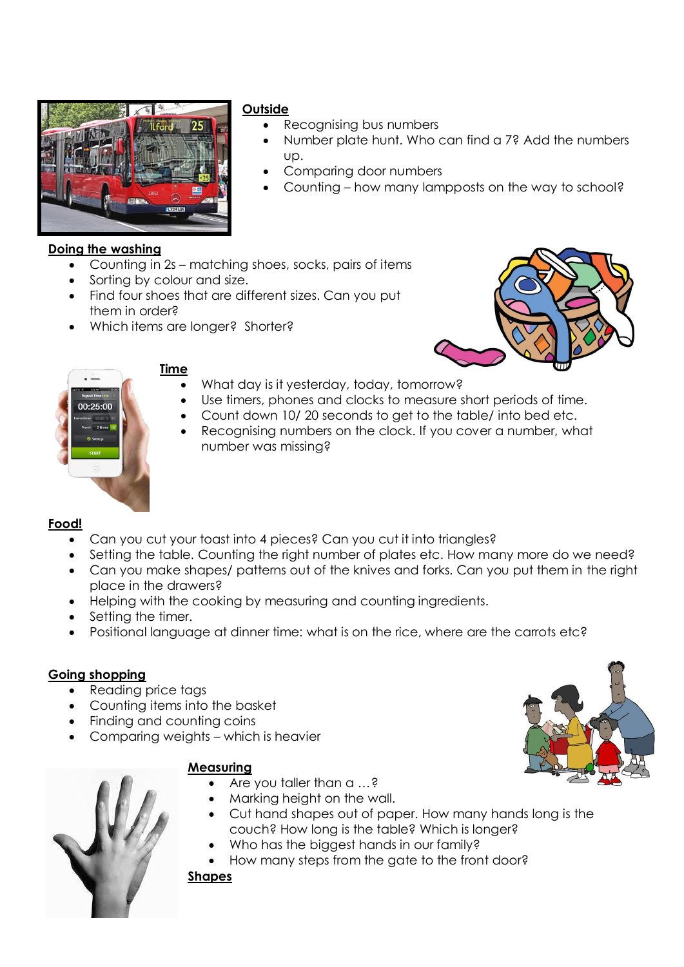

#### **Outside**

- Recognising bus numbers
- Number plate hunt. Who can find a 7? Add the numbers up.
- Comparing door numbers
- Counting how many lampposts on the way to school?

## **Doing the washing**

- Counting in 2s matching shoes, socks, pairs of items
- Sorting by colour and size.
- Find four shoes that are different sizes. Can you put them in order?
- Which items are longer? Shorter?





#### **Time**

- What day is it yesterday, today, tomorrow?
- Use timers, phones and clocks to measure short periods of time.
- Count down 10/ 20 seconds to get to the table/ into bed etc.
- Recognising numbers on the clock. If you cover a number, what number was missing?

#### **Food!**

- Can you cut your toast into 4 pieces? Can you cut it into triangles?
- Setting the table. Counting the right number of plates etc. How many more do we need?
- Can you make shapes/ patterns out of the knives and forks. Can you put them in the right place in the drawers?
- Helping with the cooking by measuring and counting ingredients.
- Setting the timer.
- Positional language at dinner time: what is on the rice, where are the carrots etc?

#### **Going shopping**

- Reading price tags
- Counting items into the basket
- Finding and counting coins
- Comparing weights which is heavier

#### **Measuring**

- Are you taller than a …?
- Marking height on the wall.
- Cut hand shapes out of paper. How many hands long is the couch? How long is the table? Which is longer?
- Who has the biggest hands in our family?
- How many steps from the gate to the front door?

#### **Shapes**